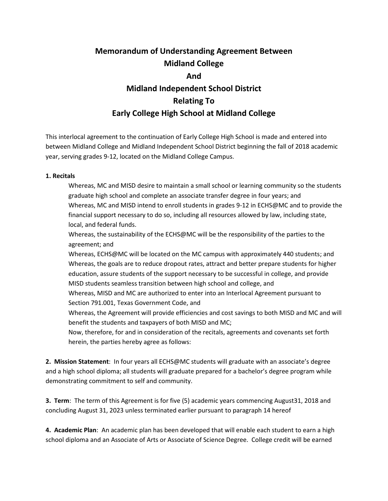# **Memorandum of Understanding Agreement Between Midland College And Midland Independent School District Relating To Early College High School at Midland College**

This interlocal agreement to the continuation of Early College High School is made and entered into between Midland College and Midland Independent School District beginning the fall of 2018 academic year, serving grades 9-12, located on the Midland College Campus.

#### **1. Recitals**

Whereas, MC and MISD desire to maintain a small school or learning community so the students graduate high school and complete an associate transfer degree in four years; and Whereas, MC and MISD intend to enroll students in grades 9-12 in ECHS@MC and to provide the financial support necessary to do so, including all resources allowed by law, including state, local, and federal funds.

Whereas, the sustainability of the ECHS@MC will be the responsibility of the parties to the agreement; and

Whereas, ECHS@MC will be located on the MC campus with approximately 440 students; and Whereas, the goals are to reduce dropout rates, attract and better prepare students for higher education, assure students of the support necessary to be successful in college, and provide MISD students seamless transition between high school and college, and

Whereas, MISD and MC are authorized to enter into an Interlocal Agreement pursuant to Section 791.001, Texas Government Code, and

Whereas, the Agreement will provide efficiencies and cost savings to both MISD and MC and will benefit the students and taxpayers of both MISD and MC;

Now, therefore, for and in consideration of the recitals, agreements and covenants set forth herein, the parties hereby agree as follows:

**2. Mission Statement**: In four years all ECHS@MC students will graduate with an associate's degree and a high school diploma; all students will graduate prepared for a bachelor's degree program while demonstrating commitment to self and community.

**3. Term**: The term of this Agreement is for five (5) academic years commencing August31, 2018 and concluding August 31, 2023 unless terminated earlier pursuant to paragraph 14 hereof

**4. Academic Plan**: An academic plan has been developed that will enable each student to earn a high school diploma and an Associate of Arts or Associate of Science Degree. College credit will be earned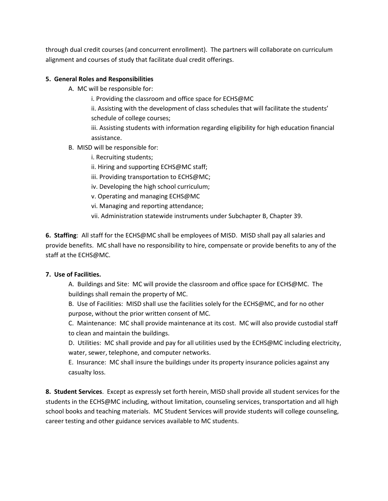through dual credit courses (and concurrent enrollment). The partners will collaborate on curriculum alignment and courses of study that facilitate dual credit offerings.

## **5. General Roles and Responsibilities**

A. MC will be responsible for:

i. Providing the classroom and office space for ECHS@MC

ii. Assisting with the development of class schedules that will facilitate the students' schedule of college courses;

iii. Assisting students with information regarding eligibility for high education financial assistance.

- B. MISD will be responsible for:
	- i. Recruiting students;

ii. Hiring and supporting ECHS@MC staff;

iii. Providing transportation to ECHS@MC;

iv. Developing the high school curriculum;

v. Operating and managing ECHS@MC

vi. Managing and reporting attendance;

vii. Administration statewide instruments under Subchapter B, Chapter 39.

**6. Staffing**: All staff for the ECHS@MC shall be employees of MISD. MISD shall pay all salaries and provide benefits. MC shall have no responsibility to hire, compensate or provide benefits to any of the staff at the ECHS@MC.

## **7. Use of Facilities.**

A. Buildings and Site: MC will provide the classroom and office space for ECHS@MC. The buildings shall remain the property of MC.

B. Use of Facilities: MISD shall use the facilities solely for the ECHS@MC, and for no other purpose, without the prior written consent of MC.

C. Maintenance: MC shall provide maintenance at its cost. MC will also provide custodial staff to clean and maintain the buildings.

D. Utilities: MC shall provide and pay for all utilities used by the ECHS@MC including electricity, water, sewer, telephone, and computer networks.

E. Insurance: MC shall insure the buildings under its property insurance policies against any casualty loss.

**8. Student Services**. Except as expressly set forth herein, MISD shall provide all student services for the students in the ECHS@MC including, without limitation, counseling services, transportation and all high school books and teaching materials. MC Student Services will provide students will college counseling, career testing and other guidance services available to MC students.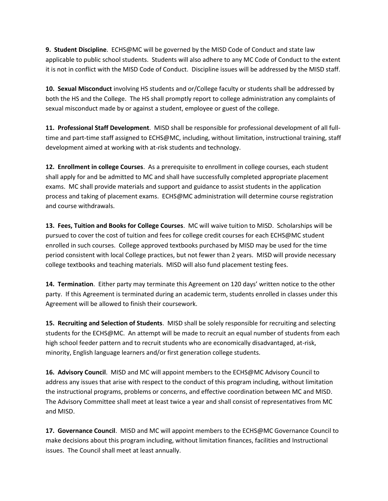**9. Student Discipline**. ECHS@MC will be governed by the MISD Code of Conduct and state law applicable to public school students. Students will also adhere to any MC Code of Conduct to the extent it is not in conflict with the MISD Code of Conduct. Discipline issues will be addressed by the MISD staff.

**10. Sexual Misconduct** involving HS students and or/College faculty or students shall be addressed by both the HS and the College. The HS shall promptly report to college administration any complaints of sexual misconduct made by or against a student, employee or guest of the college.

**11. Professional Staff Development**. MISD shall be responsible for professional development of all fulltime and part-time staff assigned to ECHS@MC, including, without limitation, instructional training, staff development aimed at working with at-risk students and technology.

**12. Enrollment in college Courses**. As a prerequisite to enrollment in college courses, each student shall apply for and be admitted to MC and shall have successfully completed appropriate placement exams. MC shall provide materials and support and guidance to assist students in the application process and taking of placement exams. ECHS@MC administration will determine course registration and course withdrawals.

**13. Fees, Tuition and Books for College Courses**. MC will waive tuition to MISD. Scholarships will be pursued to cover the cost of tuition and fees for college credit courses for each ECHS@MC student enrolled in such courses. College approved textbooks purchased by MISD may be used for the time period consistent with local College practices, but not fewer than 2 years. MISD will provide necessary college textbooks and teaching materials. MISD will also fund placement testing fees.

**14. Termination**. Either party may terminate this Agreement on 120 days' written notice to the other party. If this Agreement is terminated during an academic term, students enrolled in classes under this Agreement will be allowed to finish their coursework.

**15. Recruiting and Selection of Students**. MISD shall be solely responsible for recruiting and selecting students for the ECHS@MC. An attempt will be made to recruit an equal number of students from each high school feeder pattern and to recruit students who are economically disadvantaged, at-risk, minority, English language learners and/or first generation college students.

**16. Advisory Council**. MISD and MC will appoint members to the ECHS@MC Advisory Council to address any issues that arise with respect to the conduct of this program including, without limitation the instructional programs, problems or concerns, and effective coordination between MC and MISD. The Advisory Committee shall meet at least twice a year and shall consist of representatives from MC and MISD.

**17. Governance Council**. MISD and MC will appoint members to the ECHS@MC Governance Council to make decisions about this program including, without limitation finances, facilities and Instructional issues. The Council shall meet at least annually.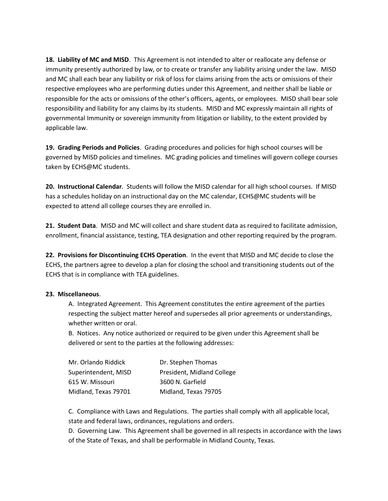**18. Liability of MC and MISD**. This Agreement is not intended to alter or reallocate any defense or immunity presently authorized by law, or to create or transfer any liability arising under the law. MISD and MC shall each bear any liability or risk of loss for claims arising from the acts or omissions of their respective employees who are performing duties under this Agreement, and neither shall be liable or responsible for the acts or omissions of the other's officers, agents, or employees. MISD shall bear sole responsibility and liability for any claims by its students. MISD and MC expressly maintain all rights of governmental Immunity or sovereign immunity from litigation or liability, to the extent provided by applicable law.

**19. Grading Periods and Policies**. Grading procedures and policies for high school courses will be governed by MISD policies and timelines. MC grading policies and timelines will govern college courses taken by ECHS@MC students.

**20. Instructional Calendar**. Students will follow the MISD calendar for all high school courses. If MISD has a schedules holiday on an instructional day on the MC calendar, ECHS@MC students will be expected to attend all college courses they are enrolled in.

**21. Student Data**. MISD and MC will collect and share student data as required to facilitate admission, enrollment, financial assistance, testing, TEA designation and other reporting required by the program.

**22. Provisions for Discontinuing ECHS Operation**. In the event that MISD and MC decide to close the ECHS, the partners agree to develop a plan for closing the school and transitioning students out of the ECHS that is in compliance with TEA guidelines.

## **23. Miscellaneous**.

A. Integrated Agreement. This Agreement constitutes the entire agreement of the parties respecting the subject matter hereof and supersedes all prior agreements or understandings, whether written or oral.

B. Notices. Any notice authorized or required to be given under this Agreement shall be delivered or sent to the parties at the following addresses:

| Mr. Orlando Riddick  | Dr. Stephen Thomas         |
|----------------------|----------------------------|
| Superintendent, MISD | President, Midland College |
| 615 W. Missouri      | 3600 N. Garfield           |
| Midland, Texas 79701 | Midland, Texas 79705       |

C. Compliance with Laws and Regulations. The parties shall comply with all applicable local, state and federal laws, ordinances, regulations and orders.

D. Governing Law. This Agreement shall be governed in all respects in accordance with the laws of the State of Texas, and shall be performable in Midland County, Texas.